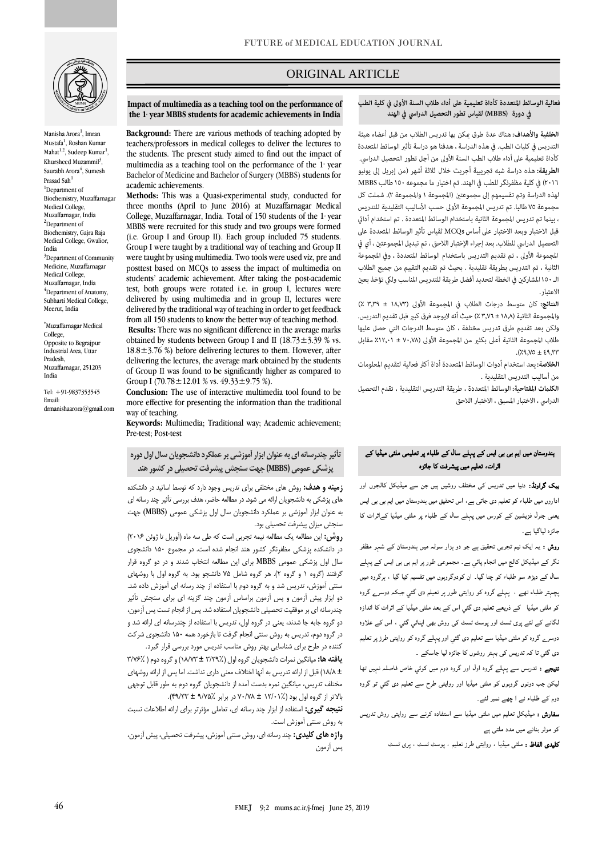

Manisha Arora<sup>1</sup>, Imran Mustafa<sup>1</sup>, Roshan Kumar Mahat<sup>1,2</sup>, Sudeep Kumar<sup>1</sup>, Khursheed Muzammil<sup>3</sup>, Saurabh Arora $\prescript{4}{4}$ , Sumesh Prasad Sah<sup>1</sup> <sup>1</sup>Department of Biochemistry, Muzaffarnagar Medical College, Muzaffarnagar, India <sup>2</sup>Department of Biochemistry, Gajra Raja Medical College, Gwalior, India <sup>3</sup>Department of Community Medicine, Muzaffarnagar Medical College, Muzaffarnagar, India <sup>4</sup>Department of Anatomy, Subharti Medical College, Meerut, India

\*Muzaffarnagar Medical College, Opposite to Begrajpur Industrial Area, Uttar Pradesh, Muzaffarnagar, 251203 India

Tel: +91-9837353545 Email: drmanishaarora@gmail.com

# ORIGINAL ARTICLE

#### فعالية الوسائط المتعددة كأداة تعليمية على أداء طلاب السنة الأولى في كلية الطب في دورة (MBBS) لقياس تطور التحصيل الدراسي في الهند

ص

الخلفية والأهداف: هناك عدة طرق مكن بها تدريس الطلاب من قبل أعضاء هيئة التدريس فى كليات الطب. فى هذه الدراسة ، هدفنا هو دراسة تأثير الوسائط المتعددة كأداة تعليمية على أداء طلاب الطب السنة الأولى من أجل تطور التحصيل الدراسي. ا**لطريقة:** هذه دراسة شبه تجريبية أجريت خلال ثلاثة أشهر (من إبريل إلى يونيو ٢٠١٦) في كلية مظفرنگر للطب في الهند. تم اختيار ما مجموعه ١٥٠ طالب MBBS لهذه الدراسة وتم تقسيمهم إلى مجموعتين (المجموعة ١ والمجموعة ٢). شملت كل مجموعة ٧٥ طالبا. تم تدريس المجموعة الأولى حسب الأساليب التقليدية للتدريس ، بينما تم تدريس المجموعة الثانية باستخدام الوسائط المتعددة . تم استخدام أداتي قبل الاختبار وبعد الاختبار على أساس MCQs لقياس تأثير الوسائط المتعددة على التحصيل الدراسي للطلاب. بعد إجراء الإختبار اللاحق ، تم تبديل المجموعتين ، أي في المجموعة الأولى ، تم تقديم التدريس باستخدام الوسائط المتعددة ، وفي المجموعة الثانية ، تم التدريس بطريقة تقليدية . بحيث تم تقديم التقييم من جميع الطلاب الـ ١٥٠ المشاركين في الخطة لتحديد أفضل طريقة للتدريس المناسب ولكي تؤخذ بعين الاعتيار .

النتائج: كان متوسط درجات الطلاب في المجموعة الأولى (١٨,٧٣ ± ٣,٣٩ ٪) والمجموعة الثانية (١٨,٨ ± ٣,٧٦ ٪) حيث أنه لايوجد فرق كبير قبل تقديم التدريس. ولكن بعد تقديم طرق تدريس مختلفة ، كان متوسط الدرجات التي حصل عليها طلاب المجموعة الثانية أعلى بكثير من المجموعة الأولى (٧٠,٧٨ ± ٢٠,١٢، مقابل  $(79, 70 \pm 69, 77)$ 

ا**لخلاصة:** بعد استخدام أدوات الوسائط المتعددة أداة أكثر فعالية لتقديم المعلومات من أساليب التدريس التقليدية .

**الكلمات المفتاحية:** الوسائط المتعددة ، طريقة التدريس التقليدية ، تقدم التحصيل الدراسي ، الاختبار المسبق ، الاختبار اللاحق

# ہندوستان میں ایم بی بی ایس کے پہلے سال کے طلباء پر تعلیمی ملٹی میڈیا کے اثرات، تعلیم میں پیشرفت کا جائزہ

بیک گراونڈ: دنیا میں تدریس کی مختلف روشیں ہیں جن سے میڈیکل کالجوں اور اداروں میں طلباء کو تعلیم دی جاتی ہے، اس تحقیق میں ہندوستان میں ایم بی بی ایس یعنی جنرل فزیشین کے کورس میں پہلے سال کے طلباء پر ملٹی میڈیا کےاثرات کا جائزہ لیاگيا ہے۔

روش : یہ ایک نیم تجربی تحقیق ہے جو دو ہزار سولہ میں ہندوستان کے شہر مظفر نگر کے میڈیکل کالج میں انجام پائي ہے۔ مجموعی طور پر ایم بی بی ایس کے پہلے سال کے دیڑھ سو طلباء کو چنا گيا۔ ان کودوگروہوں میں تقسیم کیا گيا ، ہرگروہ میں پچہتر طلباء تھے ، پہلے گروہ کو روایتی طور پر تعیلم دی گئي جبکہ دوسرے گروہ کو ملٹی میڈیا کے ذریعے تعلیم دی گئي اس کے بعد ملٹی میڈیا کے اثرات کا اندازہ لگانے کے لئے پری ٹسٹ اور پوسٹ ٹسٹ کی روش بھی اپنائي گئي ، اس کے علاوہ دوسرے گروہ کو ملٹی میڈیا سے تعلیم دی گئي اور پہلے گروہ کو روایتی طرز پر تعلیم دی گئي تا کہ تدریس کی بہتر روشوں کا جائزہ لیا جاسکے ۔

نتیجے : تدریس سے پہلے گروہ اول اور گروہ دوم میں کوئي خاص فاصلہ نہیں تھا لیکن جب دونوں گروہوں کو ملٹی میڈیا اور روایتی طرح سے تعلیم دی گئي تو گروہ دوم کے طلباء نے ا چھے نمبر لئے۔

سفارش : میڈیکل تعلیم میں ملٹی میڈیا سے استفادہ کرنے سے روایتی روش تدریس کو موثر بنانے میں مدد ملتی ہے

کلیدی الفاظ : ملٹی میڈیا ، روایتی طرز تعلیم ، پوسٹ ٹسٹ ، پری ٹسٹ

**Impact of multimedia as a teaching tool on the performance of**  the 1<sup>*s*</sup> year MBBS students for academic achievements in India

**Background:** There are various methods of teaching adopted by teachers/professors in medical colleges to deliver the lectures to the students. The present study aimed to find out the impact of multimedia as a teaching tool on the performance of the 1 year Bachelor of Medicine and Bachelor of Surgery (MBBS) students for academic achievements.

**Methods:** This was a Quasi-experimental study, conducted for three months (April to June 2016) at Muzaffarnagar Medical College, Muzaffarnagar, India. Total of 150 students of the 1 year MBBS were recruited for this study and two groups were formed (i.e. Group I and Group II). Each group included 75 students. Group I were taught by a traditional way of teaching and Group II were taught by using multimedia. Two tools were used viz, pre and posttest based on MCQs to assess the impact of multimedia on students' academic achievement. After taking the post-academic test, both groups were rotated i.e. in group I, lectures were delivered by using multimedia and in group II, lectures were delivered by the traditional way of teaching in order to get feedback from all 150 students to know the better way of teaching method. **Results:** There was no significant difference in the average marks obtained by students between Group I and II (18.73 $\pm$ 3.39 % vs.  $18.8 \pm 3.76$  %) before delivering lectures to them. However, after delivering the lectures, the average mark obtained by the students of Group II was found to be significantly higher as compared to Group I (70.78 $\pm$ 12.01 % vs. 49.33 $\pm$ 9.75 %).

**Conclusion:** The use of interactive multimedia tool found to be more effective for presenting the information than the traditional way of teaching.

**Keywords:** Multimedia; Traditional way; Academic achievement; Pre-test; Post-test

**تأثیر چندرسانه ای به عنوان ابزار آموزشی بر عملکرد دانشجويان سال اول دوره پزشکی عمومی )MBBS )جهت سنجش پیشرفت تحصیلی در کشور هند**

**زمینه و هدف:** روش های مختلفی برای تدریس وجود دارد که توسط اساتید در دانشکده های پزشکی به دانشجویان ارائه می شود. در مطالعه حاضر، هدف بررسی تأثیر چند رسانه ای به عنوان ابزار آموزشی بر عملکرد دانشجویان سال اول پزشکی عمومی (MBBS (جهت سنجش میزان پیشرفت تحصیلی بود.

**روش:** این مطالعه یک مطالعه نیمه تجربی است که طی سه ماه )آوریل تا ژوئن 2016( در دانشکده پزشکی مظفرنگر کشور هند انجام شده است. در مجموع 150 دانشجوی سال اول پزشکی عمومی MBBS برای این مطالعه انتخاب شدند و در دو گروه قرار گرفتند )گروه 1 و گروه 2(. هر گروه شامل 75 دانشجو بود. به گروه اول با روشهای سنتی آموزش، تدریس شد و به گروه دوم با استفاده از چند رسانه ای آموزش داده شد. دو ابزار پیش آزمون و پس آزمون براساس آزمون چند گزینه ای برای سنجش تأثیر چندرسانه ای بر موفقیت تحصیلی دانشجویان استفاده شد. پس از انجام تست پس آزمون، دو گروه جابه جا شدند، یعنی در گروه اول، تدریس با استفاده از چندرسانه ای ارائه شد و در گروه دوم، تدریس به روش سنتی انجام گرفت تا بازخورد همه 150 دانشجوی شرکت کننده در طرح برای شناسایی بهتر روش مناسب تدریس مورد بررسی قرار گیرد.

**يافته ها:** میانگین نمرات دانشجویان گروه اول )3/39% ± 18/73( و گروه دوم ) 3/76% ± 18/8( قبل از ارائه تدریس به آنها اختالف معنی داری نداشت. اما پس از ارائه روشهای مختلف تدریس، میانگین نمره بدست آمده از دانشجویان گروه دوم به طور قابل توجهی باالتر از گروه اول بود )12/01% ± 70/78 در برابر 9/75% ± 49/33(.

**نتیجه گیری:** استفاده از ابزار چند رسانه ای، تعاملی مؤثرتر برای ارائه اطالعات نسبت به روش سنتی آموزش است.

**واژه های کلیدی:** چند رسانه ای، روش سنتی آموزش، پیشرفت تحصیلی، پیش آزمون، پس آزمون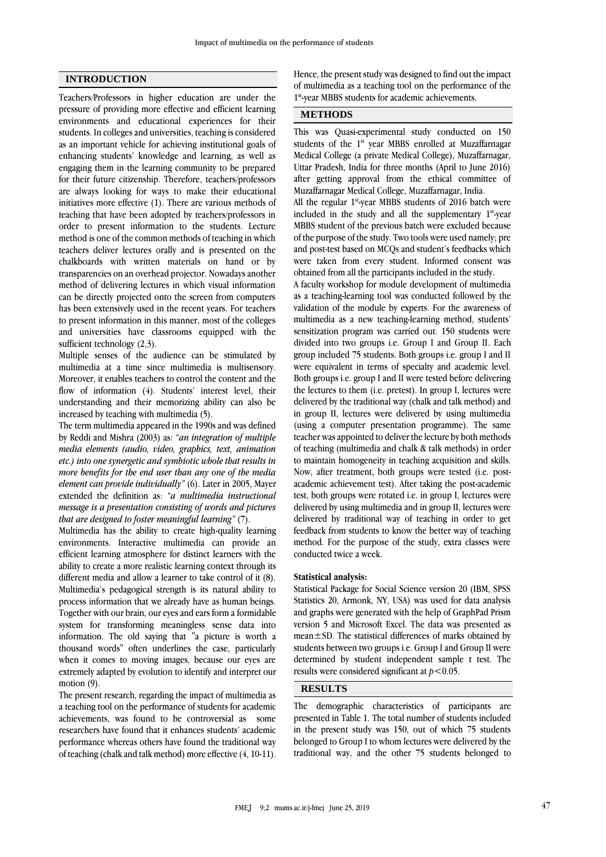## **INTRODUCTION**

Teachers/Professors in higher education are under the pressure of providing more effective and efficient learning environments and educational experiences for their students. In colleges and universities, teaching is considered as an important vehicle for achieving institutional goals of enhancing students' knowledge and learning, as well as engaging them in the learning community to be prepared for their future citizenship. Therefore, teachers/professors are always looking for ways to make their educational initiatives more effective (1). There are various methods of teaching that have been adopted by teachers/professors in order to present information to the students. Lecture method is one of the common methods of teaching in which teachers deliver lectures orally and is presented on the chalkboards with written materials on hand or by transparencies on an overhead projector. Nowadays another method of delivering lectures in which visual information can be directly projected onto the screen from computers has been extensively used in the recent years. For teachers to present information in this manner, most of the colleges and universities have classrooms equipped with the sufficient technology  $(2,3)$ .

Multiple senses of the audience can be stimulated by multimedia at a time since multimedia is multisensory. Moreover, it enables teachers to control the content and the flow of information (4). Students' interest level, their understanding and their memorizing ability can also be increased by teaching with multimedia (5).

The term multimedia appeared in the 1990s and was defined by Reddi and Mishra (2003) as: *"an integration of multiple media elements (audio, video, graphics, text, animation etc.) into one synergetic and symbiotic whole that results in more benefits for the end user than any one of the media element can provide individually"* (6). Later in 2005, Mayer extended the definition as: *"a multimedia instructional message is a presentation consisting of words and pictures that are designed to foster meaningful learning"* (7).

Multimedia has the ability to create high-quality learning environments. Interactive multimedia can provide an efficient learning atmosphere for distinct learners with the ability to create a more realistic learning context through its different media and allow a learner to take control of it (8). Multimedia's pedagogical strength is its natural ability to process information that we already have as human beings. Together with our brain, our eyes and ears form a formidable system for transforming meaningless sense data into information. The old saying that "a picture is worth a thousand words" often underlines the case, particularly when it comes to moving images, because our eyes are extremely adapted by evolution to identify and interpret our motion  $(9)$ .

The present research, regarding the impact of multimedia as a teaching tool on the performance of students for academic achievements, was found to be controversial as some researchers have found that it enhances students' academic performance whereas others have found the traditional way of teaching (chalk and talk method) more effective (4, 10-11).

Hence, the present study was designed to find out the impact of multimedia as a teaching tool on the performance of the 1 st -year MBBS students for academic achievements.

## **METHODS**

This was Quasi-experimental study conducted on 150 students of the 1<sup>st</sup> year MBBS enrolled at Muzaffarnagar Medical College (a private Medical College), Muzaffarnagar, Uttar Pradesh, India for three months (April to June 2016) after getting approval from the ethical committee of Muzaffarnagar Medical College, Muzaffarnagar, India.

All the regular 1<sup>st</sup>-year MBBS students of 2016 batch were included in the study and all the supplementary 1<sup>st</sup>-year MBBS student of the previous batch were excluded because of the purpose of the study. Two tools were used namely; pre and post-test based on MCQs and student's feedbacks which were taken from every student. Informed consent was obtained from all the participants included in the study.

A faculty workshop for module development of multimedia as a teaching-learning tool was conducted followed by the validation of the module by experts. For the awareness of multimedia as a new teaching-learning method, students' sensitization program was carried out. 150 students were divided into two groups i.e. Group I and Group II. Each group included 75 students. Both groups i.e. group I and II were equivalent in terms of specialty and academic level. Both groups i.e. group I and II were tested before delivering the lectures to them (i.e. pretest). In group I, lectures were delivered by the traditional way (chalk and talk method) and in group II, lectures were delivered by using multimedia (using a computer presentation programme). The same teacher was appointed to deliver the lecture by both methods of teaching (multimedia and chalk & talk methods) in order to maintain homogeneity in teaching acquisition and skills. Now, after treatment, both groups were tested (i.e. postacademic achievement test). After taking the post-academic test, both groups were rotated i.e. in group I, lectures were delivered by using multimedia and in group II, lectures were delivered by traditional way of teaching in order to get feedback from students to know the better way of teaching method. For the purpose of the study, extra classes were conducted twice a week.

#### **Statistical analysis:**

Statistical Package for Social Science version 20 (IBM, SPSS Statistics 20, Armonk, NY, USA) was used for data analysis and graphs were generated with the help of GraphPad Prism version 5 and Microsoft Excel. The data was presented as mean±SD. The statistical differences of marks obtained by students between two groups i.e. Group I and Group II were determined by student independent sample t test. The results were considered significant at *p*<0.05.

# **RESULTS**

The demographic characteristics of participants are presented in Table 1. The total number of students included in the present study was 150, out of which 75 students belonged to Group I to whom lectures were delivered by the traditional way, and the other 75 students belonged to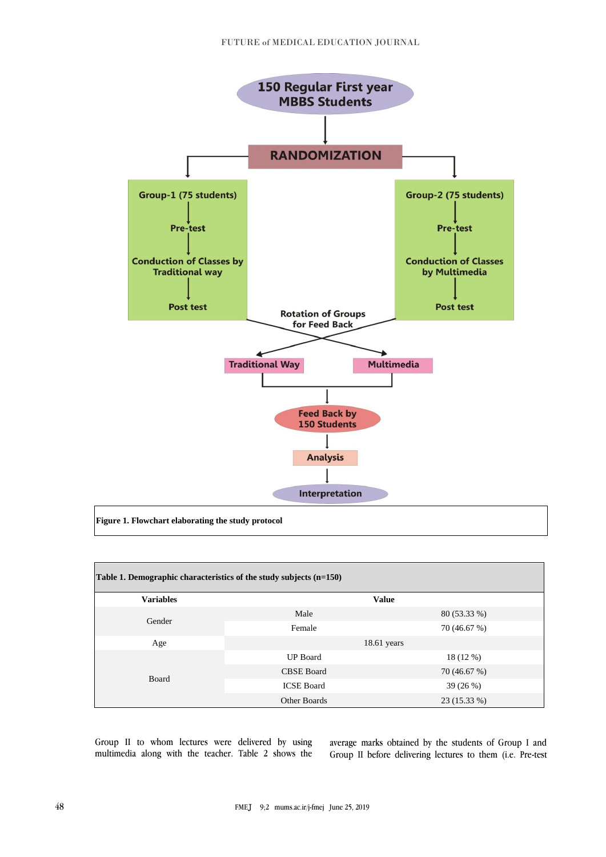

| Table 1. Demographic characteristics of the study subjects $(n=150)$ |                   |               |  |  |  |  |
|----------------------------------------------------------------------|-------------------|---------------|--|--|--|--|
| <b>Variables</b>                                                     | <b>Value</b>      |               |  |  |  |  |
| Gender                                                               | Male              | 80 (53.33 %)  |  |  |  |  |
|                                                                      | Female            | 70 (46.67 %)  |  |  |  |  |
| Age                                                                  |                   | $18.61$ years |  |  |  |  |
|                                                                      | <b>UP</b> Board   | 18(12%)       |  |  |  |  |
|                                                                      | <b>CBSE Board</b> | 70 (46.67 %)  |  |  |  |  |
| Board                                                                | <b>ICSE Board</b> | 39 (26 %)     |  |  |  |  |
|                                                                      | Other Boards      | 23 (15.33 %)  |  |  |  |  |

Group II to whom lectures were delivered by using multimedia along with the teacher. Table 2 shows the

average marks obtained by the students of Group I and Group II before delivering lectures to them (i.e. Pre-test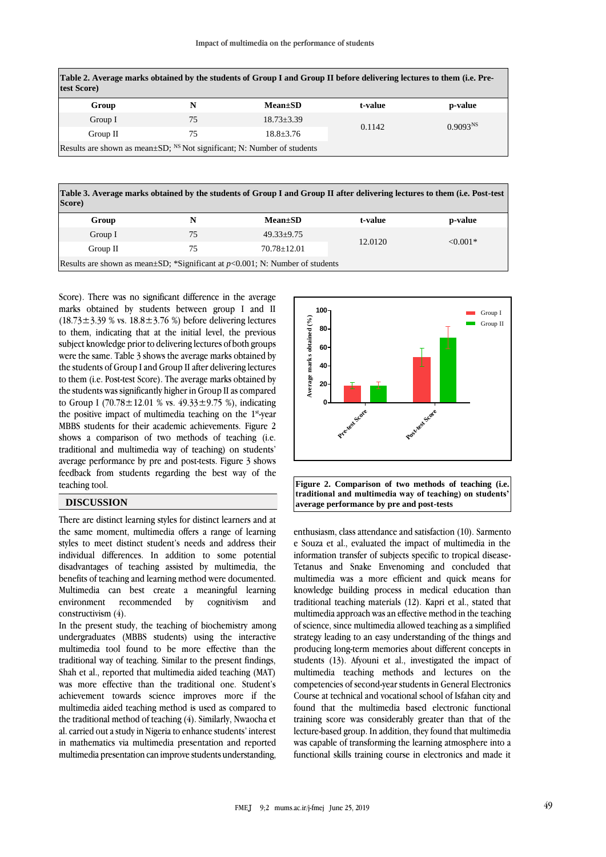| Table 2. Average marks obtained by the students of Group I and Group II before delivering lectures to them (i.e. Pre-<br>test Score) |    |                |         |                      |  |  |
|--------------------------------------------------------------------------------------------------------------------------------------|----|----------------|---------|----------------------|--|--|
| Group                                                                                                                                | N  | $Mean \pm SD$  | t-value | p-value              |  |  |
| Group I                                                                                                                              | 75 | $18.73 + 3.39$ | 0.1142  | 0.9093 <sup>NS</sup> |  |  |
| Group II                                                                                                                             | 75 | $18.8 + 3.76$  |         |                      |  |  |
| Results are shown as mean $\pm SD$ ; <sup>NS</sup> Not significant; N: Number of students                                            |    |                |         |                      |  |  |

**Table 3. Average marks obtained by the students of Group I and Group II after delivering lectures to them (i.e. Post-test Score)**

| Group    | N  | $Mean \pm SD$                                                                         | t-value | p-value    |
|----------|----|---------------------------------------------------------------------------------------|---------|------------|
| Group I  | 75 | $49.33+9.75$                                                                          | 12.0120 | $< 0.001*$ |
| Group II | 75 | $70.78 + 12.01$                                                                       |         |            |
|          |    | Results are shown as mean $\pm$ SD; *Significant at $p$ <0.001; N: Number of students |         |            |

Score). There was no significant difference in the average marks obtained by students between group I and II  $(18.73 \pm 3.39 \% \text{ vs. } 18.8 \pm 3.76 \%)$  before delivering lectures to them, indicating that at the initial level, the previous subject knowledge prior to delivering lectures of both groups were the same. Table 3 shows the average marks obtained by the students of Group I and Group II after delivering lectures to them (i.e. Post-test Score). The average marks obtained by the students was significantly higher in Group II as compared to Group I (70.78 $\pm$ 12.01 % vs. 49.33 $\pm$ 9.75 %), indicating the positive impact of multimedia teaching on the 1<sup>st</sup>-year MBBS students for their academic achievements. Figure 2 shows a comparison of two methods of teaching (i.e. traditional and multimedia way of teaching) on students' average performance by pre and post-tests. Figure 3 shows feedback from students regarding the best way of the teaching tool.

## **DISCUSSION**

There are distinct learning styles for distinct learners and at the same moment, multimedia offers a range of learning styles to meet distinct student's needs and address their individual differences. In addition to some potential disadvantages of teaching assisted by multimedia, the benefits of teaching and learning method were documented. Multimedia can best create a meaningful learning environment recommended by cognitivism and constructivism (4).

In the present study, the teaching of biochemistry among undergraduates (MBBS students) using the interactive multimedia tool found to be more effective than the traditional way of teaching. Similar to the present findings, Shah et al., reported that multimedia aided teaching (MAT) was more effective than the traditional one. Student's achievement towards science improves more if the multimedia aided teaching method is used as compared to the traditional method of teaching (4). Similarly, Nwaocha et al. carried out a study in Nigeria to enhance students' interest in mathematics via multimedia presentation and reported multimedia presentation can improve students understanding,



**Figure 2. Comparison of two methods of teaching (i.e. traditional and multimedia way of teaching) on students' average performance by pre and post-tests**

enthusiasm, class attendance and satisfaction (10). Sarmento e Souza et al., evaluated the impact of multimedia in the information transfer of subjects specific to tropical disease-Tetanus and Snake Envenoming and concluded that multimedia was a more efficient and quick means for knowledge building process in medical education than traditional teaching materials (12). Kapri et al., stated that multimedia approach was an effective method in the teaching of science, since multimedia allowed teaching as a simplified strategy leading to an easy understanding of the things and producing long-term memories about different concepts in students (13). Afyouni et al., investigated the impact of multimedia teaching methods and lectures on the competencies of second-year students in General Electronics Course at technical and vocational school of Isfahan city and found that the multimedia based electronic functional training score was considerably greater than that of the lecture-based group. In addition, they found that multimedia was capable of transforming the learning atmosphere into a functional skills training course in electronics and made it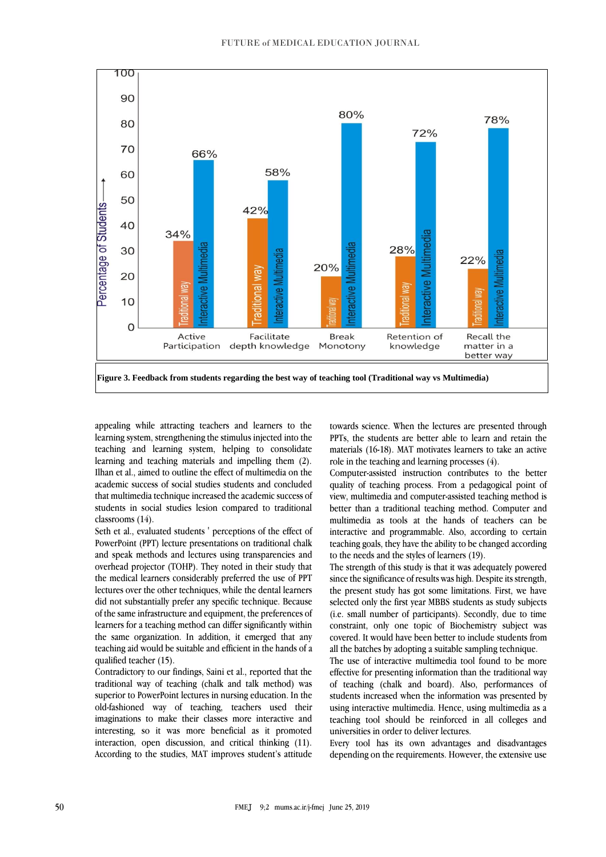

appealing while attracting teachers and learners to the learning system, strengthening the stimulus injected into the teaching and learning system, helping to consolidate learning and teaching materials and impelling them (2). Ilhan et al., aimed to outline the effect of multimedia on the academic success of social studies students and concluded that multimedia technique increased the academic success of students in social studies lesion compared to traditional classrooms (14).

Seth et al., evaluated students ' perceptions of the effect of PowerPoint (PPT) lecture presentations on traditional chalk and speak methods and lectures using transparencies and overhead projector (TOHP). They noted in their study that the medical learners considerably preferred the use of PPT lectures over the other techniques, while the dental learners did not substantially prefer any specific technique. Because of the same infrastructure and equipment, the preferences of learners for a teaching method can differ significantly within the same organization. In addition, it emerged that any teaching aid would be suitable and efficient in the hands of a qualified teacher (15).

Contradictory to our findings, Saini et al., reported that the traditional way of teaching (chalk and talk method) was superior to PowerPoint lectures in nursing education. In the old-fashioned way of teaching, teachers used their imaginations to make their classes more interactive and interesting, so it was more beneficial as it promoted interaction, open discussion, and critical thinking (11). According to the studies, MAT improves student's attitude

towards science. When the lectures are presented through PPTs, the students are better able to learn and retain the materials (16-18). MAT motivates learners to take an active role in the teaching and learning processes (4).

Computer-assisted instruction contributes to the better quality of teaching process. From a pedagogical point of view, multimedia and computer-assisted teaching method is better than a traditional teaching method. Computer and multimedia as tools at the hands of teachers can be interactive and programmable. Also, according to certain teaching goals, they have the ability to be changed according to the needs and the styles of learners (19).

The strength of this study is that it was adequately powered since the significance of results was high. Despite its strength, the present study has got some limitations. First, we have selected only the first year MBBS students as study subjects (i.e. small number of participants). Secondly, due to time constraint, only one topic of Biochemistry subject was covered. It would have been better to include students from all the batches by adopting a suitable sampling technique.

The use of interactive multimedia tool found to be more effective for presenting information than the traditional way of teaching (chalk and board). Also, performances of students increased when the information was presented by using interactive multimedia. Hence, using multimedia as a teaching tool should be reinforced in all colleges and universities in order to deliver lectures.

Every tool has its own advantages and disadvantages depending on the requirements. However, the extensive use